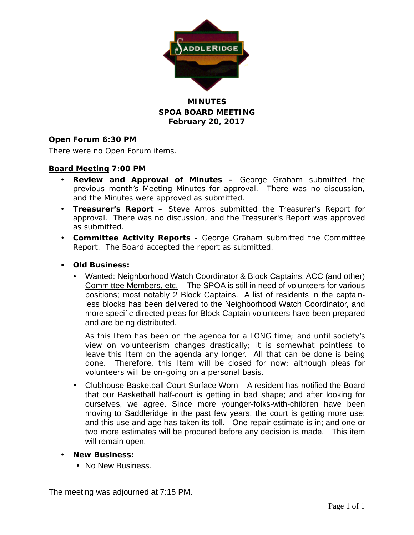

# **MINUTES SPOA BOARD MEETING February 20, 2017**

# **Open Forum 6:30 PM**

There were no Open Forum items.

# **Board Meeting 7:00 PM**

- **Review and Approval of Minutes –** George Graham submitted the previous month's Meeting Minutes for approval. There was no discussion, and the Minutes were approved as submitted.
- **Treasurer's Report –** Steve Amos submitted the Treasurer's Report for approval. There was no discussion, and the Treasurer's Report was approved as submitted.
- **Committee Activity Reports -** George Graham submitted the Committee Report. The Board accepted the report as submitted.
- **Old Business:**
	- Wanted: Neighborhood Watch Coordinator & Block Captains, ACC (and other) Committee Members, etc. - The SPOA is still in need of volunteers for various positions; most notably 2 Block Captains. A list of residents in the captainless blocks has been delivered to the Neighborhood Watch Coordinator, and more specific directed pleas for Block Captain volunteers have been prepared and are being distributed.

As this Item has been on the agenda for a LONG time; and until society's view on volunteerism changes drastically; it is somewhat pointless to leave this Item on the agenda any longer. All that can be done is being done. Therefore, this Item will be closed for now; although pleas for volunteers will be on-going on a personal basis.

- Clubhouse Basketball Court Surface Worn A resident has notified the Board that our Basketball half-court is getting in bad shape; and after looking for ourselves, we agree. Since more younger-folks-with-children have been moving to Saddleridge in the past few years, the court is getting more use; and this use and age has taken its toll. One repair estimate is in; and one or two more estimates will be procured before any decision is made. This item will remain open.
- **New Business:**
	- No New Business.

The meeting was adjourned at 7:15 PM.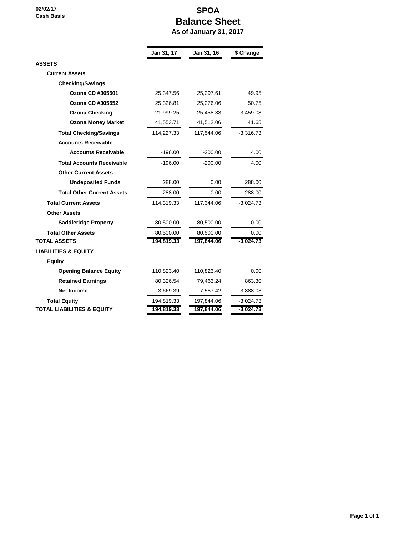**02/02/17 Cash Basis**

# **SPOA Balance Sheet As of January 31, 2017**

|                                       | Jan 31, 17 | Jan 31, 16 | \$ Change   |
|---------------------------------------|------------|------------|-------------|
| <b>ASSETS</b>                         |            |            |             |
| <b>Current Assets</b>                 |            |            |             |
| <b>Checking/Savings</b>               |            |            |             |
| Ozona CD #305501                      | 25,347.56  | 25,297.61  | 49.95       |
| <b>Ozona CD #305552</b>               | 25,326.81  | 25,276.06  | 50.75       |
| <b>Ozona Checking</b>                 | 21,999.25  | 25,458.33  | $-3,459.08$ |
| <b>Ozona Money Market</b>             | 41,553.71  | 41,512.06  | 41.65       |
| <b>Total Checking/Savings</b>         | 114,227.33 | 117,544.06 | $-3,316.73$ |
| <b>Accounts Receivable</b>            |            |            |             |
| <b>Accounts Receivable</b>            | $-196.00$  | $-200.00$  | 4.00        |
| <b>Total Accounts Receivable</b>      | $-196.00$  | $-200.00$  | 4.00        |
| <b>Other Current Assets</b>           |            |            |             |
| <b>Undeposited Funds</b>              | 288.00     | 0.00       | 288.00      |
| <b>Total Other Current Assets</b>     | 288.00     | 0.00       | 288.00      |
| <b>Total Current Assets</b>           | 114,319.33 | 117,344.06 | $-3,024.73$ |
| <b>Other Assets</b>                   |            |            |             |
| <b>Saddleridge Property</b>           | 80,500.00  | 80,500.00  | 0.00        |
| <b>Total Other Assets</b>             | 80,500.00  | 80,500.00  | 0.00        |
| <b>TOTAL ASSETS</b>                   | 194,819.33 | 197,844.06 | $-3,024.73$ |
| <b>LIABILITIES &amp; EQUITY</b>       |            |            |             |
| <b>Equity</b>                         |            |            |             |
| <b>Opening Balance Equity</b>         | 110,823.40 | 110,823.40 | 0.00        |
| <b>Retained Earnings</b>              | 80,326.54  | 79,463.24  | 863.30      |
| <b>Net Income</b>                     | 3,669.39   | 7,557.42   | $-3,888.03$ |
| <b>Total Equity</b>                   | 194,819.33 | 197,844.06 | $-3,024.73$ |
| <b>TOTAL LIABILITIES &amp; EQUITY</b> | 194,819.33 | 197,844.06 | $-3,024.73$ |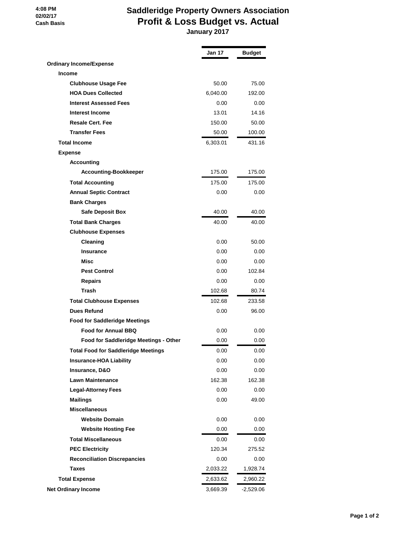#### **4:08 PM 02/02/17 Cash Basis**

# **Saddleridge Property Owners Association Profit & Loss Budget vs. Actual January 2017**

|                                            | Jan 17   | <b>Budget</b> |
|--------------------------------------------|----------|---------------|
| <b>Ordinary Income/Expense</b>             |          |               |
| <b>Income</b>                              |          |               |
| <b>Clubhouse Usage Fee</b>                 | 50.00    | 75.00         |
| <b>HOA Dues Collected</b>                  | 6,040.00 | 192.00        |
| <b>Interest Assessed Fees</b>              | 0.00     | 0.00          |
| <b>Interest Income</b>                     | 13.01    | 14.16         |
| <b>Resale Cert. Fee</b>                    | 150.00   | 50.00         |
| <b>Transfer Fees</b>                       | 50.00    | 100.00        |
| <b>Total Income</b>                        | 6,303.01 | 431.16        |
| <b>Expense</b>                             |          |               |
| <b>Accounting</b>                          |          |               |
| <b>Accounting-Bookkeeper</b>               | 175.00   | 175.00        |
| <b>Total Accounting</b>                    | 175.00   | 175.00        |
| <b>Annual Septic Contract</b>              | 0.00     | 0.00          |
| <b>Bank Charges</b>                        |          |               |
| <b>Safe Deposit Box</b>                    | 40.00    | 40.00         |
| <b>Total Bank Charges</b>                  | 40.00    | 40.00         |
| <b>Clubhouse Expenses</b>                  |          |               |
| Cleaning                                   | 0.00     | 50.00         |
| <b>Insurance</b>                           | 0.00     | 0.00          |
| Misc                                       | 0.00     | 0.00          |
| <b>Pest Control</b>                        | 0.00     | 102.84        |
| <b>Repairs</b>                             | 0.00     | 0.00          |
| <b>Trash</b>                               | 102.68   | 80.74         |
| <b>Total Clubhouse Expenses</b>            | 102.68   | 233.58        |
| <b>Dues Refund</b>                         | 0.00     | 96.00         |
| <b>Food for Saddleridge Meetings</b>       |          |               |
| <b>Food for Annual BBQ</b>                 | 0.00     | 0.00          |
| Food for Saddleridge Meetings - Other      | 0.00     | 0.00          |
| <b>Total Food for Saddleridge Meetings</b> | 0.00     | 0.00          |
| <b>Insurance-HOA Liability</b>             | 0.00     | 0.00          |
| <b>Insurance, D&amp;O</b>                  | 0.00     | 0.00          |
| <b>Lawn Maintenance</b>                    | 162.38   | 162.38        |
| <b>Legal-Attorney Fees</b>                 | 0.00     | 0.00          |
| <b>Mailings</b>                            | 0.00     | 49.00         |
| <b>Miscellaneous</b>                       |          |               |
| <b>Website Domain</b>                      | 0.00     | 0.00          |
| <b>Website Hosting Fee</b>                 | 0.00     | 0.00          |
| <b>Total Miscellaneous</b>                 | 0.00     | 0.00          |
| <b>PEC Electricity</b>                     | 120.34   | 275.52        |
| <b>Reconciliation Discrepancies</b>        | 0.00     | 0.00          |
| <b>Taxes</b>                               | 2,033.22 | 1,928.74      |
| <b>Total Expense</b>                       | 2,633.62 | 2,960.22      |
| <b>Net Ordinary Income</b>                 | 3,669.39 | -2,529.06     |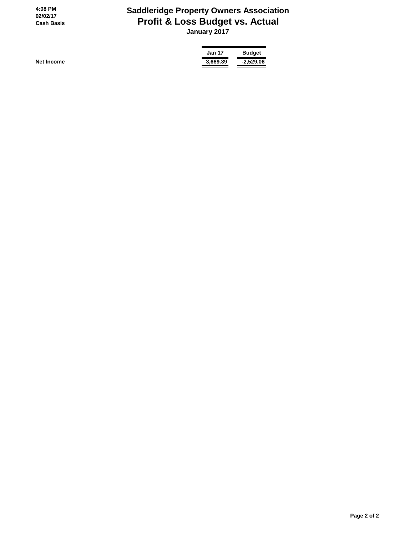**4:08 PM 02/02/17 Cash Basis**

# **Saddleridge Property Owners Association Profit & Loss Budget vs. Actual January 2017**

**Jan 17 Budget Net Income 3,669.39 -2,529.06**

 **Page 2 of 2**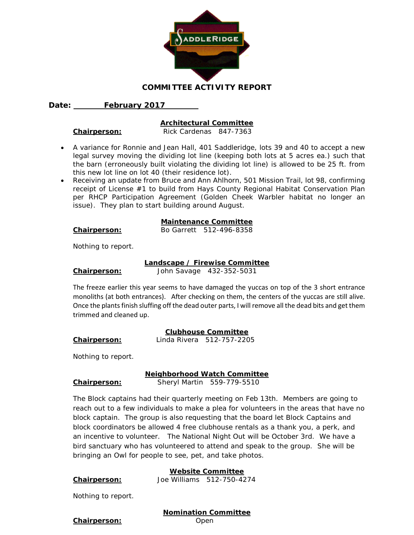

## Date: February 2017

#### **Architectural Committee**

**Chairperson:** Rick Cardenas 847-7363

- A variance for Ronnie and Jean Hall, 401 Saddleridge, lots 39 and 40 to accept a new legal survey moving the dividing lot line (keeping both lots at 5 acres ea.) such that the barn (erroneously built violating the dividing lot line) is allowed to be 25 ft. from this new lot line on lot 40 (their residence lot).
- Receiving an update from Bruce and Ann Ahlhorn, 501 Mission Trail, lot 98, confirming receipt of License #1 to build from Hays County Regional Habitat Conservation Plan per RHCP Participation Agreement (Golden Cheek Warbler habitat no longer an issue). They plan to start building around August.

## **Maintenance Committee**

| Chairperson: | Bo Garrett 512-496-8358 |  |
|--------------|-------------------------|--|

Nothing to report.

#### **Landscape / Firewise Committee**

**Chairperson:** John Savage 432-352-5031

The freeze earlier this year seems to have damaged the yuccas on top of the 3 short entrance monoliths (at both entrances). After checking on them, the centers of the yuccas are still alive. Once the plants finish sluffing off the dead outer parts, I will remove all the dead bits and get them trimmed and cleaned up.

**Clubhouse Committee Chairperson:** Linda Rivera 512-757-2205

Nothing to report.

**Neighborhood Watch Committee**

## **Chairperson:** Sheryl Martin 559-779-5510

The Block captains had their quarterly meeting on Feb 13th. Members are going to reach out to a few individuals to make a plea for volunteers in the areas that have no block captain. The group is also requesting that the board let Block Captains and block coordinators be allowed 4 free clubhouse rentals as a thank you, a perk, and an incentive to volunteer. The National Night Out will be October 3rd. We have a bird sanctuary who has volunteered to attend and speak to the group. She will be bringing an Owl for people to see, pet, and take photos.

## **Website Committee**

**Chairperson:** Joe Williams 512-750-4274

Nothing to report.

# **Nomination Committee**

**Chairperson:** Open